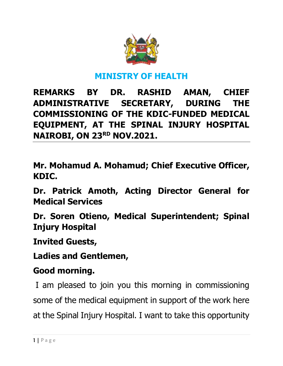

#### **MINISTRY OF HEALTH**

**REMARKS BY DR. RASHID AMAN, CHIEF ADMINISTRATIVE SECRETARY, DURING THE COMMISSIONING OF THE KDIC-FUNDED MEDICAL EQUIPMENT, AT THE SPINAL INJURY HOSPITAL NAIROBI, ON 23RD NOV.2021.**

**Mr. Mohamud A. Mohamud; Chief Executive Officer, KDIC.**

**Dr. Patrick Amoth, Acting Director General for Medical Services**

**Dr. Soren Otieno, Medical Superintendent; Spinal Injury Hospital**

**Invited Guests,**

**Ladies and Gentlemen,**

#### **Good morning.**

I am pleased to join you this morning in commissioning some of the medical equipment in support of the work here at the Spinal Injury Hospital. I want to take this opportunity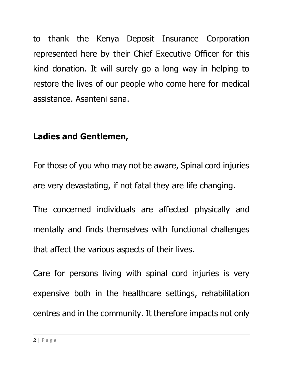to thank the Kenya Deposit Insurance Corporation represented here by their Chief Executive Officer for this kind donation. It will surely go a long way in helping to restore the lives of our people who come here for medical assistance. Asanteni sana.

## **Ladies and Gentlemen,**

For those of you who may not be aware, Spinal cord injuries are very devastating, if not fatal they are life changing.

The concerned individuals are affected physically and mentally and finds themselves with functional challenges that affect the various aspects of their lives.

Care for persons living with spinal cord injuries is very expensive both in the healthcare settings, rehabilitation centres and in the community. It therefore impacts not only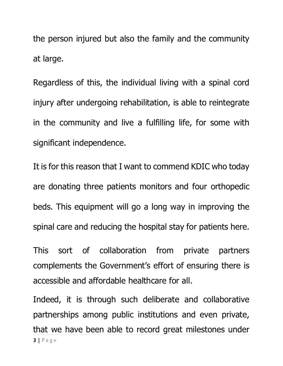the person injured but also the family and the community at large.

Regardless of this, the individual living with a spinal cord injury after undergoing rehabilitation, is able to reintegrate in the community and live a fulfilling life, for some with significant independence.

It is for this reason that I want to commend KDIC who today are donating three patients monitors and four orthopedic beds. This equipment will go a long way in improving the spinal care and reducing the hospital stay for patients here.

This sort of collaboration from private partners complements the Government's effort of ensuring there is accessible and affordable healthcare for all.

 $3 | P \n a \n g \n e$ Indeed, it is through such deliberate and collaborative partnerships among public institutions and even private, that we have been able to record great milestones under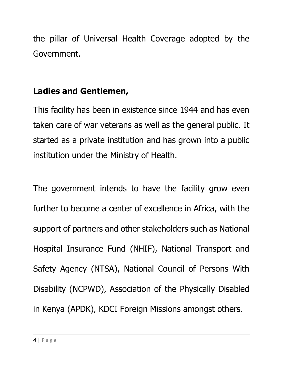the pillar of Universal Health Coverage adopted by the Government.

# **Ladies and Gentlemen,**

This facility has been in existence since 1944 and has even taken care of war veterans as well as the general public. It started as a private institution and has grown into a public institution under the Ministry of Health.

The government intends to have the facility grow even further to become a center of excellence in Africa, with the support of partners and other stakeholders such as National Hospital Insurance Fund (NHIF), National Transport and Safety Agency (NTSA), National Council of Persons With Disability (NCPWD), Association of the Physically Disabled in Kenya (APDK), KDCI Foreign Missions amongst others.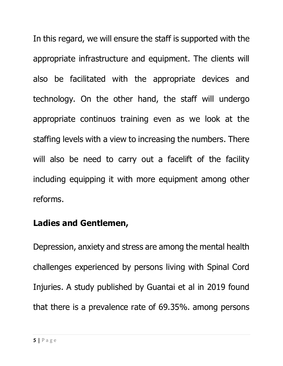In this regard, we will ensure the staff is supported with the appropriate infrastructure and equipment. The clients will also be facilitated with the appropriate devices and technology. On the other hand, the staff will undergo appropriate continuos training even as we look at the staffing levels with a view to increasing the numbers. There will also be need to carry out a facelift of the facility including equipping it with more equipment among other reforms.

#### **Ladies and Gentlemen,**

Depression, anxiety and stress are among the mental health challenges experienced by persons living with Spinal Cord Injuries. A study published by Guantai et al in 2019 found that there is a prevalence rate of 69.35%. among persons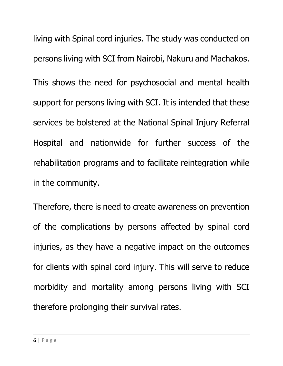living with Spinal cord injuries. The study was conducted on persons living with SCI from Nairobi, Nakuru and Machakos. This shows the need for psychosocial and mental health support for persons living with SCI. It is intended that these services be bolstered at the National Spinal Injury Referral Hospital and nationwide for further success of the rehabilitation programs and to facilitate reintegration while in the community.

Therefore, there is need to create awareness on prevention of the complications by persons affected by spinal cord injuries, as they have a negative impact on the outcomes for clients with spinal cord injury. This will serve to reduce morbidity and mortality among persons living with SCI therefore prolonging their survival rates.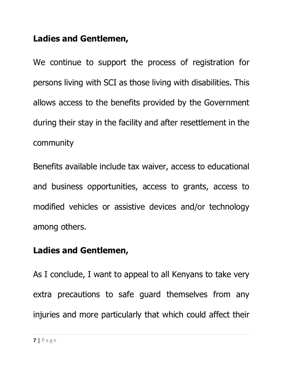### **Ladies and Gentlemen,**

We continue to support the process of registration for persons living with SCI as those living with disabilities. This allows access to the benefits provided by the Government during their stay in the facility and after resettlement in the community

Benefits available include tax waiver, access to educational and business opportunities, access to grants, access to modified vehicles or assistive devices and/or technology among others.

## **Ladies and Gentlemen,**

As I conclude, I want to appeal to all Kenyans to take very extra precautions to safe guard themselves from any injuries and more particularly that which could affect their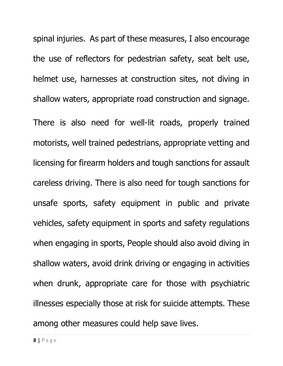spinal injuries. As part of these measures, I also encourage the use of reflectors for pedestrian safety, seat belt use, helmet use, harnesses at construction sites, not diving in shallow waters, appropriate road construction and signage.

There is also need for well-lit roads, properly trained motorists, well trained pedestrians, appropriate vetting and licensing for firearm holders and tough sanctions for assault careless driving. There is also need for tough sanctions for unsafe sports, safety equipment in public and private vehicles, safety equipment in sports and safety regulations when engaging in sports, People should also avoid diving in shallow waters, avoid drink driving or engaging in activities when drunk, appropriate care for those with psychiatric illnesses especially those at risk for suicide attempts. These among other measures could help save lives.